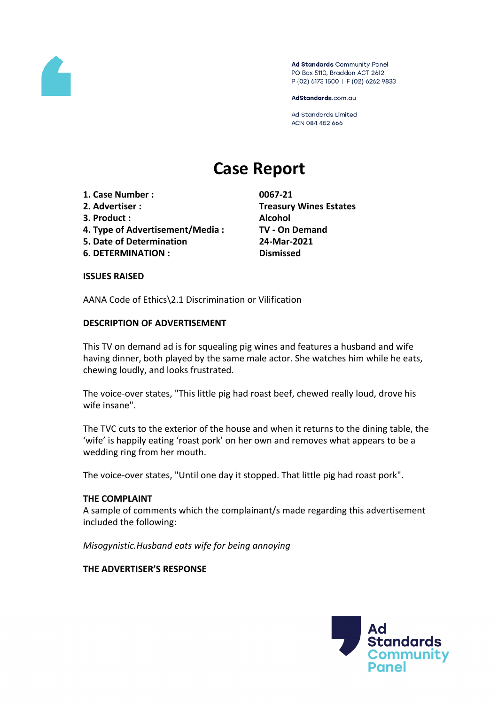

Ad Standards Community Panel PO Box 5110, Braddon ACT 2612 P (02) 6173 1500 | F (02) 6262 9833

AdStandards.com.au

Ad Standards Limited ACN 084 452 666

# **Case Report**

- **1. Case Number : 0067-21**
- 
- **3. Product : Alcohol**
- **4. Type of Advertisement/Media : TV - On Demand**
- **5. Date of Determination 24-Mar-2021**
- **6. DETERMINATION : Dismissed**

**2. Advertiser : Treasury Wines Estates**

## **ISSUES RAISED**

AANA Code of Ethics\2.1 Discrimination or Vilification

# **DESCRIPTION OF ADVERTISEMENT**

This TV on demand ad is for squealing pig wines and features a husband and wife having dinner, both played by the same male actor. She watches him while he eats, chewing loudly, and looks frustrated.

The voice-over states, "This little pig had roast beef, chewed really loud, drove his wife insane".

The TVC cuts to the exterior of the house and when it returns to the dining table, the 'wife' is happily eating 'roast pork' on her own and removes what appears to be a wedding ring from her mouth.

The voice-over states, "Until one day it stopped. That little pig had roast pork".

## **THE COMPLAINT**

A sample of comments which the complainant/s made regarding this advertisement included the following:

*Misogynistic.Husband eats wife for being annoying*

# **THE ADVERTISER'S RESPONSE**

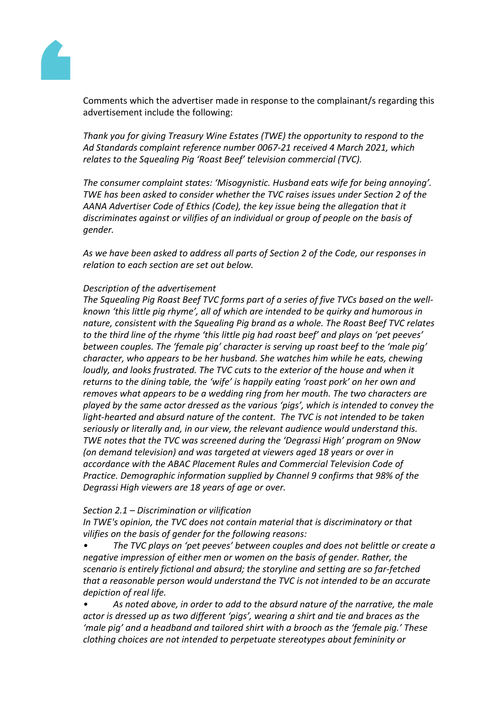

Comments which the advertiser made in response to the complainant/s regarding this advertisement include the following:

*Thank you for giving Treasury Wine Estates (TWE) the opportunity to respond to the Ad Standards complaint reference number 0067-21 received 4 March 2021, which relates to the Squealing Pig 'Roast Beef' television commercial (TVC).*

*The consumer complaint states: 'Misogynistic. Husband eats wife for being annoying'. TWE has been asked to consider whether the TVC raises issues under Section 2 of the AANA Advertiser Code of Ethics (Code), the key issue being the allegation that it discriminates against or vilifies of an individual or group of people on the basis of gender.*

*As we have been asked to address all parts of Section 2 of the Code, our responses in relation to each section are set out below.*

# *Description of the advertisement*

*The Squealing Pig Roast Beef TVC forms part of a series of five TVCs based on the wellknown 'this little pig rhyme', all of which are intended to be quirky and humorous in nature, consistent with the Squealing Pig brand as a whole. The Roast Beef TVC relates to the third line of the rhyme 'this little pig had roast beef' and plays on 'pet peeves' between couples. The 'female pig' character is serving up roast beef to the 'male pig' character, who appears to be her husband. She watches him while he eats, chewing loudly, and looks frustrated. The TVC cuts to the exterior of the house and when it returns to the dining table, the 'wife' is happily eating 'roast pork' on her own and removes what appears to be a wedding ring from her mouth. The two characters are played by the same actor dressed as the various 'pigs', which is intended to convey the light-hearted and absurd nature of the content. The TVC is not intended to be taken seriously or literally and, in our view, the relevant audience would understand this. TWE notes that the TVC was screened during the 'Degrassi High' program on 9Now (on demand television) and was targeted at viewers aged 18 years or over in accordance with the ABAC Placement Rules and Commercial Television Code of Practice. Demographic information supplied by Channel 9 confirms that 98% of the Degrassi High viewers are 18 years of age or over.*

## *Section 2.1 – Discrimination or vilification*

*In TWE's opinion, the TVC does not contain material that is discriminatory or that vilifies on the basis of gender for the following reasons:* 

*• The TVC plays on 'pet peeves' between couples and does not belittle or create a negative impression of either men or women on the basis of gender. Rather, the scenario is entirely fictional and absurd; the storyline and setting are so far-fetched that a reasonable person would understand the TVC is not intended to be an accurate depiction of real life.*

*• As noted above, in order to add to the absurd nature of the narrative, the male actor is dressed up as two different 'pigs', wearing a shirt and tie and braces as the 'male pig' and a headband and tailored shirt with a brooch as the 'female pig.' These clothing choices are not intended to perpetuate stereotypes about femininity or*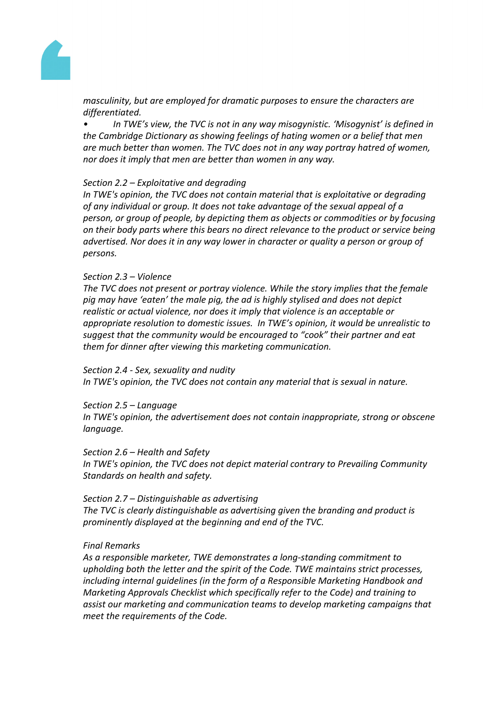

*masculinity, but are employed for dramatic purposes to ensure the characters are differentiated.*

*• In TWE's view, the TVC is not in any way misogynistic. 'Misogynist' is defined in the Cambridge Dictionary as showing feelings of hating women or a belief that men are much better than women. The TVC does not in any way portray hatred of women, nor does it imply that men are better than women in any way.*

### *Section 2.2 – Exploitative and degrading*

*In TWE's opinion, the TVC does not contain material that is exploitative or degrading of any individual or group. It does not take advantage of the sexual appeal of a person, or group of people, by depicting them as objects or commodities or by focusing on their body parts where this bears no direct relevance to the product or service being advertised. Nor does it in any way lower in character or quality a person or group of persons.*

### *Section 2.3 – Violence*

*The TVC does not present or portray violence. While the story implies that the female pig may have 'eaten' the male pig, the ad is highly stylised and does not depict realistic or actual violence, nor does it imply that violence is an acceptable or appropriate resolution to domestic issues. In TWE's opinion, it would be unrealistic to suggest that the community would be encouraged to "cook" their partner and eat them for dinner after viewing this marketing communication.*

#### *Section 2.4 - Sex, sexuality and nudity*

*In TWE's opinion, the TVC does not contain any material that is sexual in nature.*

#### *Section 2.5 – Language*

*In TWE's opinion, the advertisement does not contain inappropriate, strong or obscene language.*

#### *Section 2.6 – Health and Safety*

*In TWE's opinion, the TVC does not depict material contrary to Prevailing Community Standards on health and safety.*

## *Section 2.7 – Distinguishable as advertising*

*The TVC is clearly distinguishable as advertising given the branding and product is prominently displayed at the beginning and end of the TVC.*

#### *Final Remarks*

*As a responsible marketer, TWE demonstrates a long-standing commitment to upholding both the letter and the spirit of the Code. TWE maintains strict processes, including internal guidelines (in the form of a Responsible Marketing Handbook and Marketing Approvals Checklist which specifically refer to the Code) and training to assist our marketing and communication teams to develop marketing campaigns that meet the requirements of the Code.*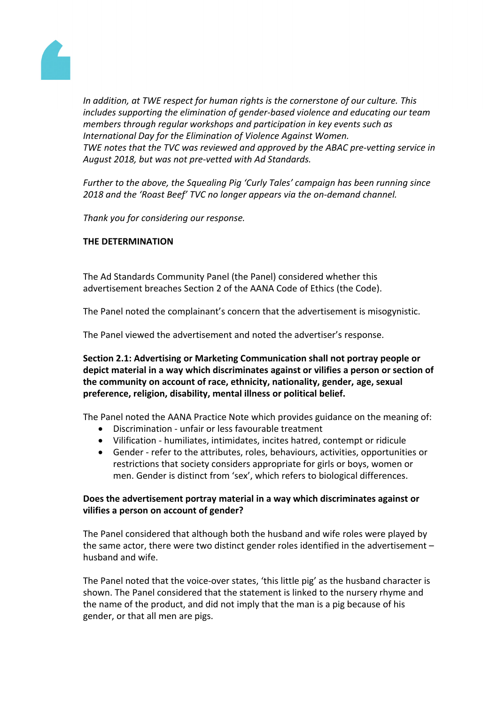

*In addition, at TWE respect for human rights is the cornerstone of our culture. This includes supporting the elimination of gender-based violence and educating our team members through regular workshops and participation in key events such as International Day for the Elimination of Violence Against Women. TWE notes that the TVC was reviewed and approved by the ABAC pre-vetting service in August 2018, but was not pre-vetted with Ad Standards.*

*Further to the above, the Squealing Pig 'Curly Tales' campaign has been running since 2018 and the 'Roast Beef' TVC no longer appears via the on-demand channel.*

*Thank you for considering our response.*

# **THE DETERMINATION**

The Ad Standards Community Panel (the Panel) considered whether this advertisement breaches Section 2 of the AANA Code of Ethics (the Code).

The Panel noted the complainant's concern that the advertisement is misogynistic.

The Panel viewed the advertisement and noted the advertiser's response.

**Section 2.1: Advertising or Marketing Communication shall not portray people or depict material in a way which discriminates against or vilifies a person or section of the community on account of race, ethnicity, nationality, gender, age, sexual preference, religion, disability, mental illness or political belief.**

The Panel noted the AANA Practice Note which provides guidance on the meaning of:

- Discrimination unfair or less favourable treatment
- Vilification humiliates, intimidates, incites hatred, contempt or ridicule
- Gender refer to the attributes, roles, behaviours, activities, opportunities or restrictions that society considers appropriate for girls or boys, women or men. Gender is distinct from 'sex', which refers to biological differences.

# **Does the advertisement portray material in a way which discriminates against or vilifies a person on account of gender?**

The Panel considered that although both the husband and wife roles were played by the same actor, there were two distinct gender roles identified in the advertisement – husband and wife.

The Panel noted that the voice-over states, 'this little pig' as the husband character is shown. The Panel considered that the statement is linked to the nursery rhyme and the name of the product, and did not imply that the man is a pig because of his gender, or that all men are pigs.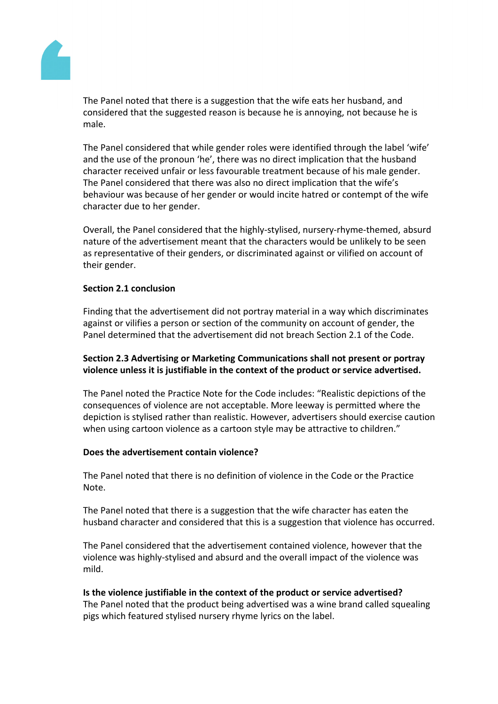

The Panel noted that there is a suggestion that the wife eats her husband, and considered that the suggested reason is because he is annoying, not because he is male.

The Panel considered that while gender roles were identified through the label 'wife' and the use of the pronoun 'he', there was no direct implication that the husband character received unfair or less favourable treatment because of his male gender. The Panel considered that there was also no direct implication that the wife's behaviour was because of her gender or would incite hatred or contempt of the wife character due to her gender.

Overall, the Panel considered that the highly-stylised, nursery-rhyme-themed, absurd nature of the advertisement meant that the characters would be unlikely to be seen as representative of their genders, or discriminated against or vilified on account of their gender.

## **Section 2.1 conclusion**

Finding that the advertisement did not portray material in a way which discriminates against or vilifies a person or section of the community on account of gender, the Panel determined that the advertisement did not breach Section 2.1 of the Code.

# **Section 2.3 Advertising or Marketing Communications shall not present or portray violence unless it is justifiable in the context of the product or service advertised.**

The Panel noted the Practice Note for the Code includes: "Realistic depictions of the consequences of violence are not acceptable. More leeway is permitted where the depiction is stylised rather than realistic. However, advertisers should exercise caution when using cartoon violence as a cartoon style may be attractive to children."

## **Does the advertisement contain violence?**

The Panel noted that there is no definition of violence in the Code or the Practice Note.

The Panel noted that there is a suggestion that the wife character has eaten the husband character and considered that this is a suggestion that violence has occurred.

The Panel considered that the advertisement contained violence, however that the violence was highly-stylised and absurd and the overall impact of the violence was mild.

# **Is the violence justifiable in the context of the product or service advertised?**

The Panel noted that the product being advertised was a wine brand called squealing pigs which featured stylised nursery rhyme lyrics on the label.